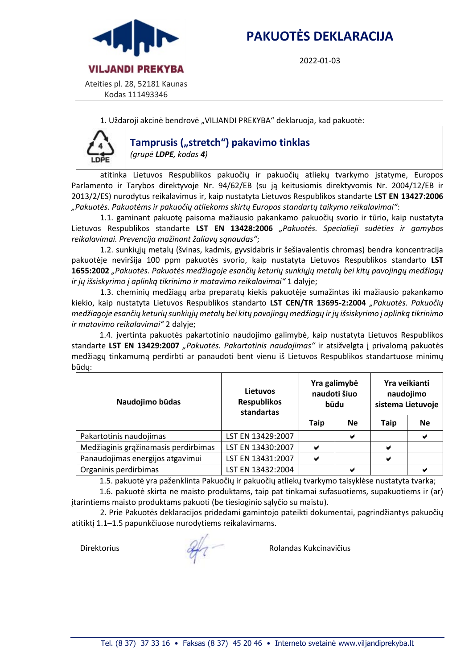

2022-01-03



Ateities pl. 28, 52181 Kaunas Kodas 111493346

1. Uždaroji akcinė bendrovė "VILJANDI PREKYBA" deklaruoja, kad pakuotė:



## **Tamprusis** ("stretch") pakavimo tinklas *(grupė LDPE, kodas 4)*

atitinka Lietuvos Respublikos pakuočių ir pakuočių atliekų tvarkymo įstatyme, Europos Parlamento ir Tarybos direktyvoje Nr. 94/62/EB (su ją keitusiomis direktyvomis Nr. 2004/12/EB ir 2013/2/ES) nurodytus reikalavimus ir, kaip nustatyta Lietuvos Respublikos standarte **LST EN 13427:2006** *"Pakuotės. Pakuotėms ir pakuočių atliekoms skirtų Europos standartų taikymo reikalavimai"*:

1.1. gaminant pakuotę paisoma mažiausio pakankamo pakuočių svorio ir tūrio, kaip nustatyta Lietuvos Respublikos standarte **LST EN 13428:2006** *"Pakuotės. Specialieji sudėties ir gamybos reikalavimai. Prevencija mažinant žaliavų sąnaudas"*;

1.2. sunkiųjų metalų (švinas, kadmis, gyvsidabris ir šešiavalentis chromas) bendra koncentracija pakuotėje neviršija 100 ppm pakuotės svorio, kaip nustatyta Lietuvos Respublikos standarto **LST 1655:2002** *"Pakuotės. Pakuotės medžiagoje esančių keturių sunkiųjų metalų bei kitų pavojingų medžiagų ir jų išsiskyrimo į aplinką tikrinimo ir matavimo reikalavimai"* 1 dalyje;

1.3. cheminių medžiagų arba preparatų kiekis pakuotėje sumažintas iki mažiausio pakankamo kiekio, kaip nustatyta Lietuvos Respublikos standarto **LST CEN/TR 13695-2:2004** *"Pakuotės. Pakuočių medžiagoje esančių keturių sunkiųjų metalų bei kitų pavojingų medžiagų ir jų išsiskyrimo į aplinką tikrinimo ir matavimo reikalavimai"* 2 dalyje;

1.4. įvertinta pakuotės pakartotinio naudojimo galimybė, kaip nustatyta Lietuvos Respublikos standarte **LST EN 13429:2007** *"Pakuotės. Pakartotinis naudojimas"* ir atsižvelgta į privalomą pakuotės medžiagų tinkamumą perdirbti ar panaudoti bent vienu iš Lietuvos Respublikos standartuose minimų būdų:

| Naudojimo būdas                      | Lietuvos<br><b>Respublikos</b><br>standartas | Yra galimybė<br>naudoti šiuo<br>būdu |           | Yra veikianti<br>naudojimo<br>sistema Lietuvoje |           |
|--------------------------------------|----------------------------------------------|--------------------------------------|-----------|-------------------------------------------------|-----------|
|                                      |                                              | <b>Taip</b>                          | <b>Ne</b> | <b>Taip</b>                                     | <b>Ne</b> |
| Pakartotinis naudojimas              | LST EN 13429:2007                            |                                      | ✔         |                                                 |           |
| Medžiaginis grąžinamasis perdirbimas | LST EN 13430:2007                            | ✔                                    |           | ✔                                               |           |
| Panaudojimas energijos atgavimui     | LST EN 13431:2007                            | ✔                                    |           | ✔                                               |           |
| Organinis perdirbimas                | LST EN 13432:2004                            |                                      | ✔         |                                                 |           |

1.5. pakuotė yra paženklinta Pakuočių ir pakuočių atliekų tvarkymo taisyklėse nustatyta tvarka;

1.6. pakuotė skirta ne maisto produktams, taip pat tinkamai sufasuotiems, supakuotiems ir (ar) įtarintiems maisto produktams pakuoti (be tiesioginio sąlyčio su maistu).

2. Prie Pakuotės deklaracijos pridedami gamintojo pateikti dokumentai, pagrindžiantys pakuočių atitiktį 1.1–1.5 papunkčiuose nurodytiems reikalavimams.

Direktorius Rolandas Kukcinavičius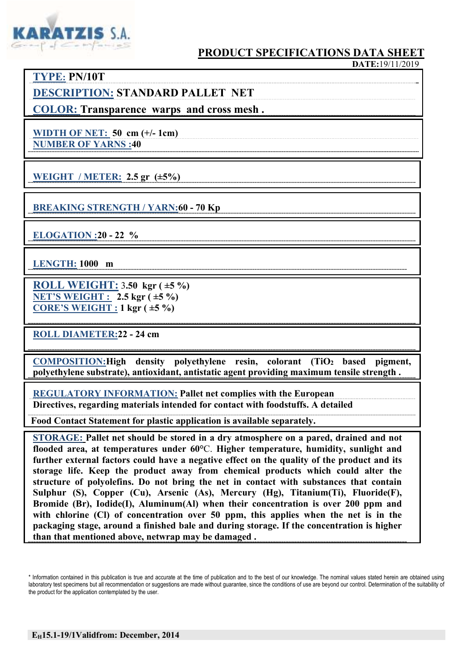

## **PRODUCT SPECIFICATIONS DATA SHEET**

**TYPE: PN/10T DESCRIPTION: STANDARD PALLET NET**

**COLOR: Transparence warps and cross mesh .**

**WIDTH OF NET: 50 cm (+/- 1cm) NUMBER OF YARNS :40**

**WEIGHT / METER: 2.5 gr (±5%)**

**BREAKING STRENGTH / YARN:60 - 70 Kp**

**ELOGATION :20 - 22 %**

**LENGTH: 1000 m**

**ROLL WEIGHT:** 3**.50 kgr ( ±5 %) NET'S WEIGHT : 2.5 kgr ( ±5 %) CORE'S WEIGHT : 1 kgr ( ±5 %)**

**ROLL DIAMETER:22 - 24 cm** 

**COMPOSITION:High density polyethylene resin, colorant (TiO2 based pigment, polyethylene substrate), antioxidant, antistatic agent providing maximum tensile strength .**

**REGULATORY INFORMATION: Pallet net complies with the European Directives, regarding materials intended for contact with foodstuffs. A detailed**

 **Food Contact Statement for plastic application is available separately.**

**STORAGE: Pallet net should be stored in a dry atmosphere on a pared, drained and not flooded area, at temperatures under 60°**C. **Higher temperature, humidity, sunlight and further external factors could have a negative effect on the quality of the product and its storage life. Keep the product away from chemical products which could alter the structure of polyolefins. Do not bring the net in contact with substances that contain Sulphur (S), Copper (Cu), Arsenic (As), Mercury (Hg), Titanium(Ti), Fluoride(F), Bromide (Br), Iodide(I), Aluminum(Al) when their concentration is over 200 ppm and**  with chlorine (Cl) of concentration over 50 ppm, this applies when the net is in the **packaging stage, around a finished bale and during storage. If the concentration is higher than that mentioned above, netwrap may be damaged .**

<sup>\*</sup> Information contained in this publication is true and accurate at the time of publication and to the best of our knowledge. The nominal values stated herein are obtained using laboratory test specimens but all recommendation or suggestions are made without guarantee, since the conditions of use are beyond our control. Determination of the suitability of the product for the application contemplated by the user.